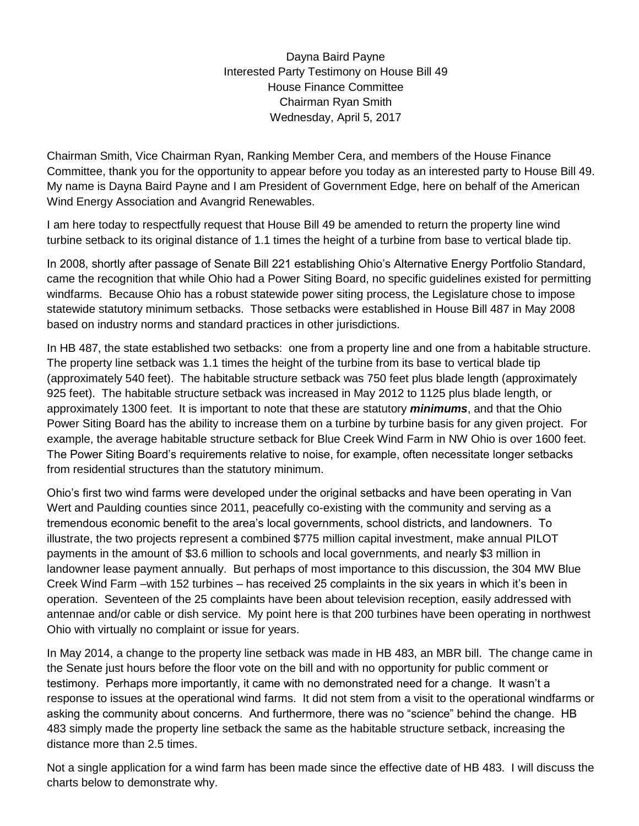Dayna Baird Payne Interested Party Testimony on House Bill 49 House Finance Committee Chairman Ryan Smith Wednesday, April 5, 2017

Chairman Smith, Vice Chairman Ryan, Ranking Member Cera, and members of the House Finance Committee, thank you for the opportunity to appear before you today as an interested party to House Bill 49. My name is Dayna Baird Payne and I am President of Government Edge, here on behalf of the American Wind Energy Association and Avangrid Renewables.

I am here today to respectfully request that House Bill 49 be amended to return the property line wind turbine setback to its original distance of 1.1 times the height of a turbine from base to vertical blade tip.

In 2008, shortly after passage of Senate Bill 221 establishing Ohio's Alternative Energy Portfolio Standard, came the recognition that while Ohio had a Power Siting Board, no specific guidelines existed for permitting windfarms. Because Ohio has a robust statewide power siting process, the Legislature chose to impose statewide statutory minimum setbacks. Those setbacks were established in House Bill 487 in May 2008 based on industry norms and standard practices in other jurisdictions.

In HB 487, the state established two setbacks: one from a property line and one from a habitable structure. The property line setback was 1.1 times the height of the turbine from its base to vertical blade tip (approximately 540 feet). The habitable structure setback was 750 feet plus blade length (approximately 925 feet). The habitable structure setback was increased in May 2012 to 1125 plus blade length, or approximately 1300 feet. It is important to note that these are statutory *minimums*, and that the Ohio Power Siting Board has the ability to increase them on a turbine by turbine basis for any given project. For example, the average habitable structure setback for Blue Creek Wind Farm in NW Ohio is over 1600 feet. The Power Siting Board's requirements relative to noise, for example, often necessitate longer setbacks from residential structures than the statutory minimum.

Ohio's first two wind farms were developed under the original setbacks and have been operating in Van Wert and Paulding counties since 2011, peacefully co-existing with the community and serving as a tremendous economic benefit to the area's local governments, school districts, and landowners. To illustrate, the two projects represent a combined \$775 million capital investment, make annual PILOT payments in the amount of \$3.6 million to schools and local governments, and nearly \$3 million in landowner lease payment annually. But perhaps of most importance to this discussion, the 304 MW Blue Creek Wind Farm –with 152 turbines – has received 25 complaints in the six years in which it's been in operation. Seventeen of the 25 complaints have been about television reception, easily addressed with antennae and/or cable or dish service. My point here is that 200 turbines have been operating in northwest Ohio with virtually no complaint or issue for years.

In May 2014, a change to the property line setback was made in HB 483, an MBR bill. The change came in the Senate just hours before the floor vote on the bill and with no opportunity for public comment or testimony. Perhaps more importantly, it came with no demonstrated need for a change. It wasn't a response to issues at the operational wind farms. It did not stem from a visit to the operational windfarms or asking the community about concerns. And furthermore, there was no "science" behind the change. HB 483 simply made the property line setback the same as the habitable structure setback, increasing the distance more than 2.5 times.

Not a single application for a wind farm has been made since the effective date of HB 483. I will discuss the charts below to demonstrate why.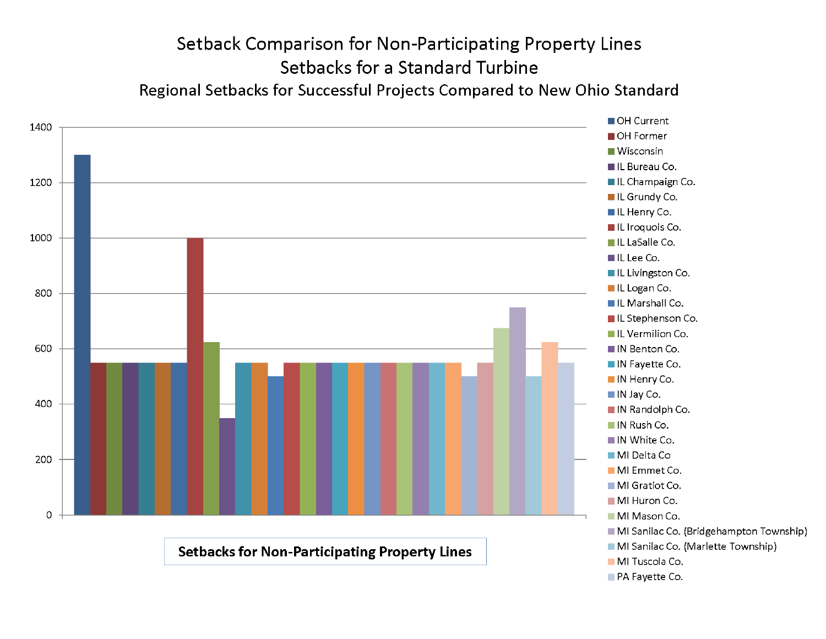## Setback Comparison for Non-Participating Property Lines Setbacks for a Standard Turbine Regional Setbacks for Successful Projects Compared to New Ohio Standard

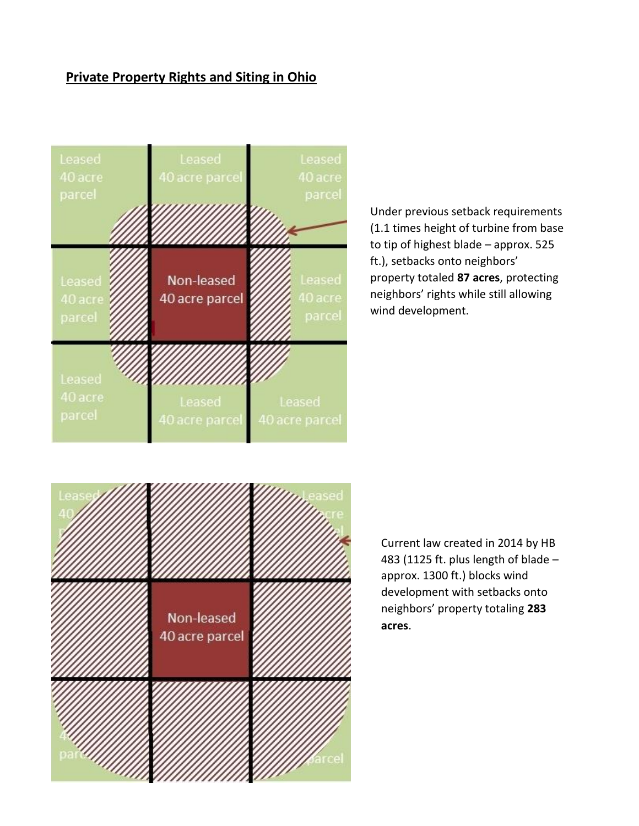## **Private Property Rights and Siting in Ohio**



Under previous setback requirements (1.1 times height of turbine from base to tip of highest blade – approx. 525 ft.), setbacks onto neighbors' property totaled **87 acres**, protecting neighbors' rights while still allowing wind development.



Current law created in 2014 by HB 483 (1125 ft. plus length of blade  $$ approx. 1300 ft.) blocks wind development with setbacks onto neighbors' property totaling **283 acres**.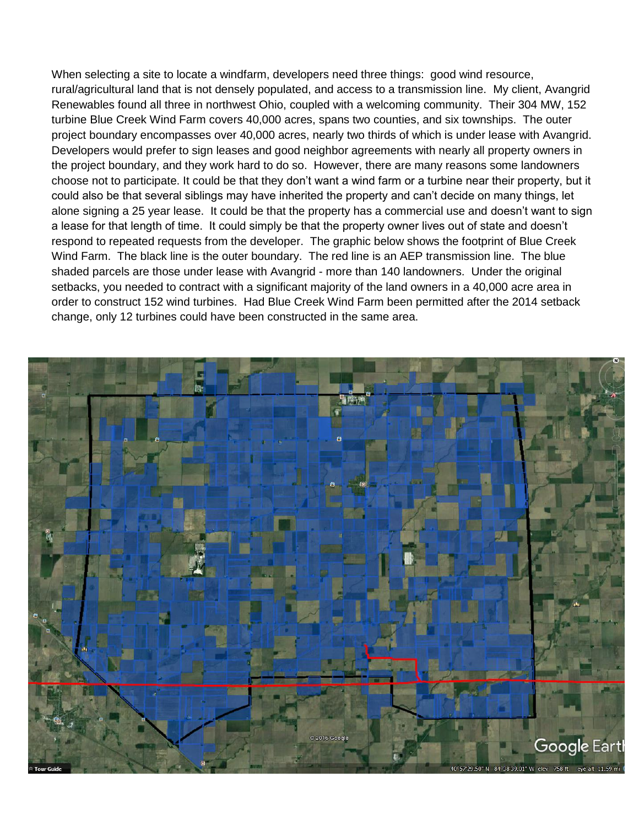When selecting a site to locate a windfarm, developers need three things: good wind resource, rural/agricultural land that is not densely populated, and access to a transmission line. My client, Avangrid Renewables found all three in northwest Ohio, coupled with a welcoming community. Their 304 MW, 152 turbine Blue Creek Wind Farm covers 40,000 acres, spans two counties, and six townships. The outer project boundary encompasses over 40,000 acres, nearly two thirds of which is under lease with Avangrid. Developers would prefer to sign leases and good neighbor agreements with nearly all property owners in the project boundary, and they work hard to do so. However, there are many reasons some landowners choose not to participate. It could be that they don't want a wind farm or a turbine near their property, but it could also be that several siblings may have inherited the property and can't decide on many things, let alone signing a 25 year lease. It could be that the property has a commercial use and doesn't want to sign a lease for that length of time. It could simply be that the property owner lives out of state and doesn't respond to repeated requests from the developer. The graphic below shows the footprint of Blue Creek Wind Farm. The black line is the outer boundary. The red line is an AEP transmission line. The blue shaded parcels are those under lease with Avangrid - more than 140 landowners. Under the original setbacks, you needed to contract with a significant majority of the land owners in a 40,000 acre area in order to construct 152 wind turbines. Had Blue Creek Wind Farm been permitted after the 2014 setback change, only 12 turbines could have been constructed in the same area.